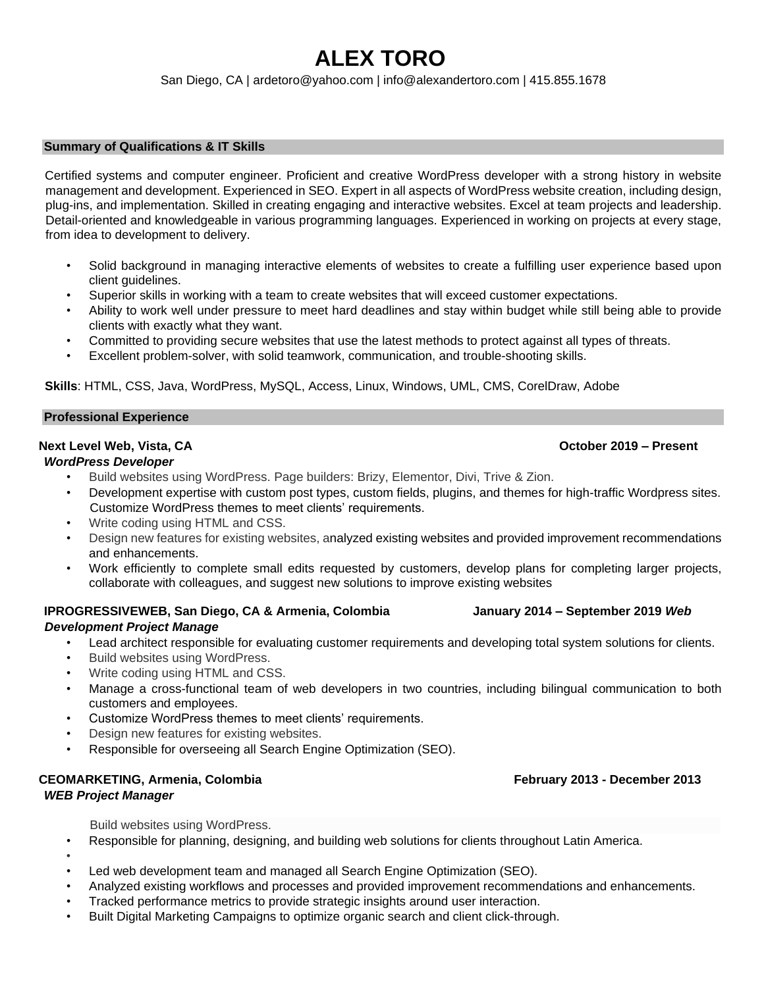# **ALEX TORO**

San Diego, CA | ardetoro@yahoo.com | info@alexandertoro.com | 415.855.1678

#### **Summary of Qualifications & IT Skills**

Certified systems and computer engineer. Proficient and creative WordPress developer with a strong history in website management and development. Experienced in SEO. Expert in all aspects of WordPress website creation, including design, plug-ins, and implementation. Skilled in creating engaging and interactive websites. Excel at team projects and leadership. Detail-oriented and knowledgeable in various programming languages. Experienced in working on projects at every stage, from idea to development to delivery.

- Solid background in managing interactive elements of websites to create a fulfilling user experience based upon client guidelines.
- Superior skills in working with a team to create websites that will exceed customer expectations.
- Ability to work well under pressure to meet hard deadlines and stay within budget while still being able to provide clients with exactly what they want.
- Committed to providing secure websites that use the latest methods to protect against all types of threats.
- Excellent problem-solver, with solid teamwork, communication, and trouble-shooting skills.

**Skills**: HTML, CSS, Java, WordPress, MySQL, Access, Linux, Windows, UML, CMS, CorelDraw, Adobe

#### **Professional Experience**

### **Next Level Web, Vista, CA October 2019 – Present**

### *WordPress Developer*

- Build websites using WordPress. Page builders: Brizy, Elementor, Divi, Trive & Zion.
- Development expertise with custom post types, custom fields, plugins, and themes for high-traffic Wordpress sites. Customize WordPress themes to meet clients' requirements.
- Write coding using HTML and CSS.
- Design new features for existing websites, analyzed existing websites and provided improvement recommendations and enhancements.
- Work efficiently to complete small edits requested by customers, develop plans for completing larger projects, collaborate with colleagues, and suggest new solutions to improve existing websites

#### **IPROGRESSIVEWEB, San Diego, CA & Armenia, Colombia January 2014 – September 2019** *Web Development Project Manage*

- Lead architect responsible for evaluating customer requirements and developing total system solutions for clients.
- Build websites using WordPress.
- Write coding using HTML and CSS.
- Manage a cross-functional team of web developers in two countries, including bilingual communication to both customers and employees.
- Customize WordPress themes to meet clients' requirements.
- Design new features for existing websites.
- Responsible for overseeing all Search Engine Optimization (SEO).

#### **CEOMARKETING, Armenia, Colombia February 2013 - December 2013**  *WEB Project Manager*

## Build websites using WordPress.

- Responsible for planning, designing, and building web solutions for clients throughout Latin America.
- -
- Led web development team and managed all Search Engine Optimization (SEO).
- Analyzed existing workflows and processes and provided improvement recommendations and enhancements.
- Tracked performance metrics to provide strategic insights around user interaction.
- Built Digital Marketing Campaigns to optimize organic search and client click-through.